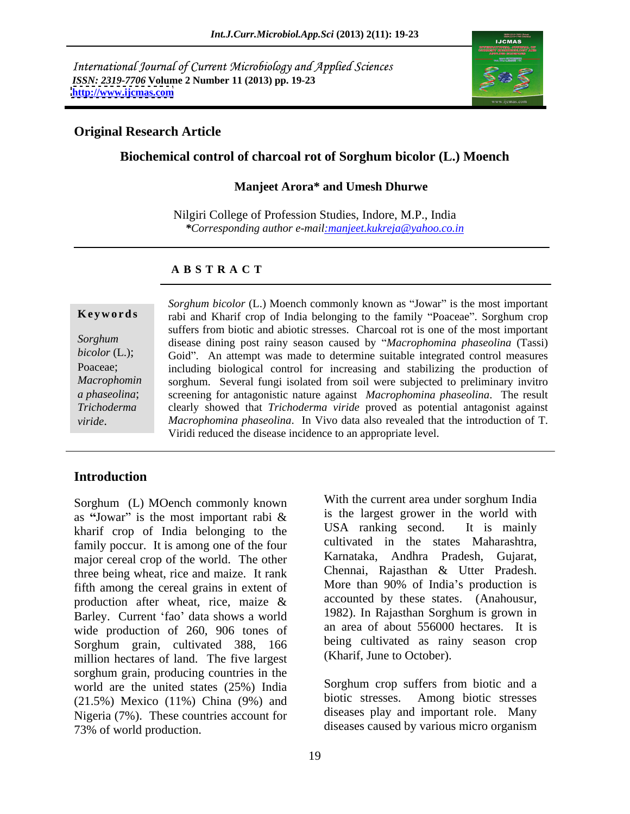International Journal of Current Microbiology and Applied Sciences *ISSN: 2319-7706* **Volume 2 Number 11 (2013) pp. 19-23 <http://www.ijcmas.com>**



#### **Original Research Article**

### **Biochemical control of charcoal rot of Sorghum bicolor (L.) Moench**

#### **Manjeet Arora\* and Umesh Dhurwe**

Nilgiri College of Profession Studies, Indore, M.P., India *\*Corresponding author e-mail:manjeet.kukreja@yahoo.co.in*

#### **A B S T R A C T**

**Keywords** rabi and Kharif crop of India belonging to the family "Poaceae". Sorghum crop *Sorghum*  disease dining post rainy season caused by *Macrophomina phaseolina* (Tassi) bicolor (L.); Goid". An attempt was made to determine suitable integrated control measures Poaceae; including biological control for increasing and stabilizing the production of Macrophomin sorghum. Several fungi isolated from soil were subjected to preliminary invitro *a phaseolina*; screening for antagonistic nature against *Macrophomina phaseolina*. The result *Trichoderma*  clearly showed that *Trichoderma viride* proved as potential antagonist against *Sorghum bicolor* (L.) Moench commonly known as "Jowar" is the most important<br>
rabi and Kharif crop of India belonging to the family "Poaceae". Sorghum crop<br> *suffers from biotic and abiotic stresses.* Charcoal rot is one suffers from biotic and abiotic stresses. Charcoal rot is one of the most important *Macrophomina phaseolina*. In Vivo data also revealed that the introduction of T. Viridi reduced the disease incidence to an appropriate level.

### **Introduction**

as "Jowar" is the most important rabi  $\&$  is the largest grower in the world with kharif crop of India belonging to the USA ranking second. It is mainly family poccur. It is among one of the four major cereal crop of the world. The other three being wheat, rice and maize. It rank<br>
fifth among the cereal grains in extent of More than 90% of India's production is fifth among the cereal grains in extent of production after wheat, rice, maize  $\&$  accounted by these states. (Anahousur, Barley. Current 'fao' data shows a world wide production of 260, 906 tones of Sorghum grain, cultivated 388, 166 million hectares of land. The five largest sorghum grain, producing countries in the world are the united states  $(25%)$  India<br>(25%) Mexico  $(11%)$  China  $(9%)$  and biotic stresses. Among biotic stresses (21.5%) Mexico (11%) China (9%) and Nigeria (7%). These countries account for<br>73% of world production. 73% of world production. diseases caused by various micro organism

Sorghum (L) MOench commonly known With the current area under sorghum India With the current area under sorghum India is the largest grower in the world with USA ranking second. It is mainly cultivated in the states Maharashtra, Karnataka, Andhra Pradesh, Gujarat, Chennai, Rajasthan & Utter Pradesh. More than 90% of India's production is accounted by these states. (Anahousur, 1982). In Rajasthan Sorghum is grown in an area of about 556000 hectares. It is being cultivated as rainy season crop (Kharif, June to October).

> Sorghum crop suffers from biotic and a biotic stresses. Among biotic stresses diseases play and important role. Many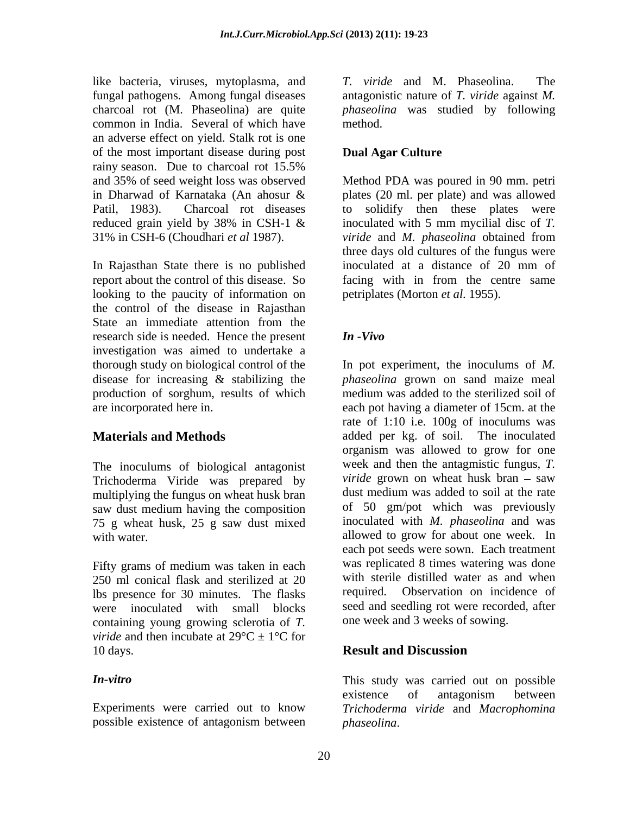like bacteria, viruses, mytoplasma, and T. viride and M. Phaseolina. The fungal pathogens. Among fungal diseases common in India. Several of which have an adverse effect on yield. Stalk rot is one of the most important disease during post rainy season. Due to charcoal rot 15.5%

In Rajasthan State there is no published inoculated at a distance of 20 mm of looking to the paucity of information on the control of the disease in Rajasthan State an immediate attention from the research side is needed. Hence the present  $\mathbf{I} \mathbf{n}$  -Vivo investigation was aimed to undertake a production of sorghum, results of which

The inoculums of biological antagonist Trichoderma Viride was prepared by multiplying the fungus on wheat husk bran saw dust medium having the composition 75 g wheat husk, 25 g saw dust mixed

Fifty grams of medium was taken in each 250 ml conical flask and sterilized at 20 with sterile distilled water as and when<br>lbs presence for 30 minutes. The flasks required. Observation on incidence of lbs presence for 30 minutes. The flasks were inoculated with small blocks containing young growing sclerotia of *T. viride* and then incubate at  $29^{\circ}C \pm 1^{\circ}C$  for 10 days. **Result and Discussion** 

possible existence of antagonism between

charcoal rot (M. Phaseolina) are quite *phaseolina* was studied by following *T. viride* and M. Phaseolina. antagonistic nature of *T. viride* against *M.*  method.

## **Dual Agar Culture**

and 35% of seed weight loss was observed Method PDA was poured in 90 mm. petri in Dharwad of Karnataka (An ahosur & Patil, 1983). Charcoal rot diseases to solidify then these plates were reduced grain yield by 38% in CSH-1  $\&$  inoculated with 5 mm mycilial disc of T. 31% in CSH-6 (Choudhari *et al* 1987). *viride* and *M. phaseolina* obtained from report about the control of this disease. So facing with in from the centre same plates (20 ml. per plate) and was allowed inoculated with 5 mm mycilial disc of*T.*  three days old cultures of the fungus were inoculated at a distance of 20 mm of petriplates (Morton *et al*. 1955).

### *In -Vivo*

thorough study on biological control of the In pot experiment, the inoculums of *M.*  disease for increasing & stabilizing the *phaseolina* grown on sand maize meal are incorporated here in. each pot having a diameter of 15cm. at the **Materials and Methods** added per kg. of soil. The inoculated with water. The same state of allowed to grow for about one week. In medium was added to the sterilized soil of rate of 1:10 i.e. 100g of inoculums was organism was allowed to grow for one week and then the antagmistic fungus, *T. viride* grown on wheat husk bran – saw dust medium was added to soil at the rate of 50 gm/pot which was previously inoculated with *M. phaseolina* and was each pot seeds were sown. Each treatment was replicated 8 times watering was done with sterile distilled water as and when required. Observation on incidence of seed and seedling rot were recorded, after one week and 3 weeks of sowing.

# **Result and Discussion**

*In-vitro*  This study was carried out on possible Experiments were carried out to know *Trichoderma viride* and *Macrophomina*  existence of antagonism between *phaseolina*.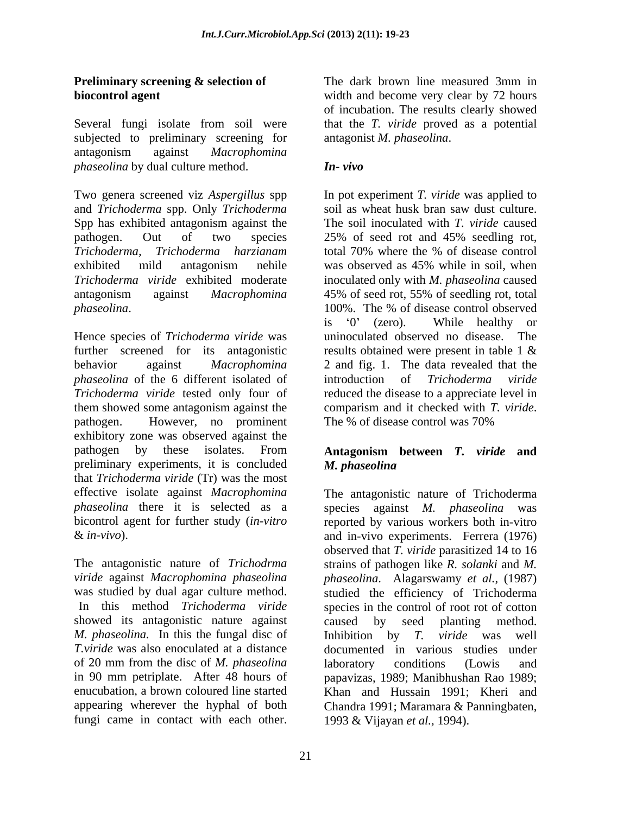Several fungi isolate from soil were that the *T. viride* proved as a potential subjected to preliminary screening for antagonism against *Macrophomina phaseolina* by dual culture method. **In-vivo** 

Two genera screened viz *Aspergillus* spp In pot experiment *T. viride* was applied to and *Trichoderma* spp. Only *Trichoderma* Spp has exhibited antagonism against the pathogen. Out of two species 25% of seed rot and 45% seedling rot, *Trichoderma, Trichoderma harzianam* exhibited mild antagonism nehile was observed as 45% while in soil, when *Trichoderma viride* exhibited moderate inoculated only with *M. phaseolina* caused antagonism against *Macrophomina*  45% of seed rot, 55% of seedling rot, total *phaseolina*. The % of disease control observed

Hence species of *Trichoderma viride* was uninoculated observed no disease. The further screened for its antagonistic results obtained were present in table 1  $\&$ behavior against *Macrophomina*  2 and fig. 1. The data revealed that the *phaseolina* of the 6 different isolated of introduction of *Trichoderma viride Trichoderma viride* tested only four of reduced the disease to a appreciate level in them showed some antagonism against the comparism and it checked with  $T$ . *viride*. pathogen. However, no prominent The % of disease control was 70% exhibitory zone was observed against the pathogen by these isolates. From **Antagonism between** *T. viride* **and** preliminary experiments, it is concluded M. phaseolina that *Trichoderma viride* (Tr) was the most

showed its antagonistic nature against caused by seed planting method. *M. phaseolina.* In this the fungal disc of enucubation, a brown coloured line started

**Preliminary screening & selection of** The dark brown line measured 3mm in **biocontrol agent biocontrol agent biocontrol** agent **b b width** and become very clear by 72 hours of incubation. The results clearly showed antagonist *M. phaseolina*.

### *In- vivo*

soil as wheat husk bran saw dust culture. The soil inoculated with *T. viride* caused 25% of seed rot and 45% seedling rot,<br>total 70% where the % of disease control was observed as 45% while in soil, when 100%. The % of disease control observed is '0' (zero). While healthy or uninoculated observed no disease. introduction of *Trichoderma viride* comparism and it checked with *T. viride*. The % of disease control was 70%

# *M. phaseolina*

effective isolate against *Macrophomina* The antagonistic nature of Trichoderma *phaseolina* there it is selected as a species against *M. phaseolina* was bicontrol agent for further study (*in-vitro* reported by various workers both in-vitro & *in-vivo*). and in-vivo experiments. Ferrera (1976) The antagonistic nature of *Trichodrma*  strains of pathogen like *R. solanki* and *M. viride* against *Macrophomina phaseolina phaseolina*. Alagarswamy *et al.*, (1987) was studied by dual agar culture method. Studied the efficiency of Trichoderma In this method *Trichoderma viride* species in the control of root rot of cotton *T.viride* was also enoculated at a distance documented in various studies under of 20 mm from the disc of *M. phaseolina* in 90 mm petriplate. After 48 hours of papavizas, 1989; Manibhushan Rao 1989; appearing wherever the hyphal of both Chandra 1991; Maramara & Panningbaten, **Friedmann strengthm in the dark brown line measured 3mm in the state brown line and the state of the dark brown line measured 3mm in the data brown line measured in the state of the state of the state of the state of the** observed that *T. viride* parasitized 14 to 16 caused by seed planting method. Inhibition by *T. viride* was well laboratory conditions (Lowis and Khan and Hussain 1991; Kheri and 1993 & Vijayan *et al.,* 1994).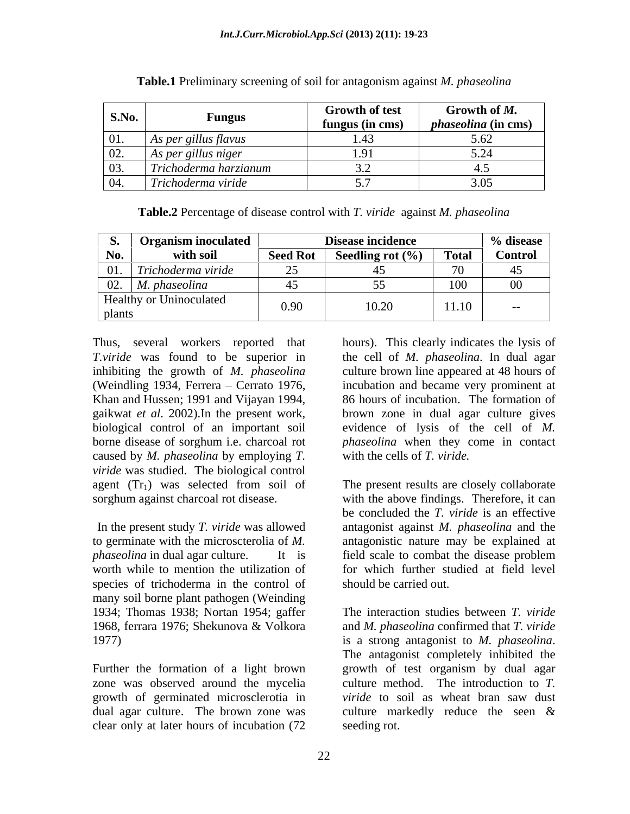| S.No.                        | Fungus                              | <b>Growth of test</b><br>fungus (in cms) | Growth of M.<br>$ -$<br><i>phaseolina</i> (in cms) |
|------------------------------|-------------------------------------|------------------------------------------|----------------------------------------------------|
| $\sim$ $\sim$<br>101.        | As per gillus flavus                | $\sqrt{4}$<br>L.40                       |                                                    |
| $\Omega$<br>$U\mathcal{L}$ . | As per gillus niger                 |                                          |                                                    |
| 03.                          | Trichoderma harzianum               |                                          | ு.                                                 |
| 04.                          | $\sim$ $\sim$<br>Trichoderma viride |                                          | <u>.</u>                                           |

**Table.1** Preliminary screening of soil for antagonism against *M. phaseolina*

**Table.2** Percentage of disease control with *T. viride* against *M. phaseolina*

| ◡•          | <b>Organism inoculated</b>     |                 | Disease incidence           |                          | % disease      |
|-------------|--------------------------------|-----------------|-----------------------------|--------------------------|----------------|
| No.         | with soil                      | <b>Seed Rot</b> | <b>Seedling rot</b> $(\% )$ | <b>Total</b>             | <b>Control</b> |
| 01.         | Trichoderma viride             |                 |                             | $\overline{\phantom{0}}$ |                |
| 02.         | M. phaseolina                  | .               | - -                         | 100                      | $00\,$         |
| plants<br>∸ | <b>Healthy or Uninoculated</b> | 0.90            | 10.20                       | $4.4 - 4.6$<br>11.10     | $- -$          |

(Weindling 1934, Ferrera - Cerrato 1976, Khan and Hussen; 1991 and Vijayan 1994, caused by *M. phaseolina* by employing *T. viride* was studied. The biological control

In the present study *T. viride* was allowed *phaseolina* in dual agar culture. It is field scale to combat the disease problem species of trichoderma in the control of many soil borne plant pathogen (Weinding 1934; Thomas 1938; Nortan 1954; gaffer

zone was observed around the mycelia growth of germinated microsclerotia in *viride* to soil as wheat bran saw dust clear only at later hours of incubation (72

Thus, several workers reported that hours). This clearly indicates the lysis of *T.viride* was found to be superior in the cell of *M. phaseolina*. In dual agar inhibiting the growth of *M. phaseolina* culture brown line appeared at 48 hours of gaikwat *et al*. 2002).In the present work, brown zone in dual agar culture gives biological control of an important soil evidence of lysis of the cell of *M.*  borne disease of sorghum i.e. charcoal rot *phaseolina* when they come in contact incubation and became very prominent at 86 hours of incubation. The formation of *phaseolina* when they come in contact with the cells of *T. viride.*

agent  $(Tr_1)$  was selected from soil of The present results are closely collaborate sorghum against charcoal rot disease. with the above findings. Therefore, it can to germinate with the microscterolia of *M.*  antagonistic nature may be explained at worth while to mention the utilization of for which further studied at field level The present results are closely collaborate be concluded the *T. viride* is an effective antagonist against *M. phaseolina* and the field scale to combat the disease problem should be carried out.

1968, ferrara 1976; Shekunova & Volkora and *M. phaseolina* confirmed that *T. viride*  1977) is a strong antagonist to *M. phaseolina*. Further the formation of a light brown growth of test organism by dual agar dual agar culture. The brown zone was culture markedly reduce the seen & The interaction studies between *T. viride* The antagonist completely inhibited the culture method. The introduction to *T. viride* to soil as wheat bran saw dust seeding rot.